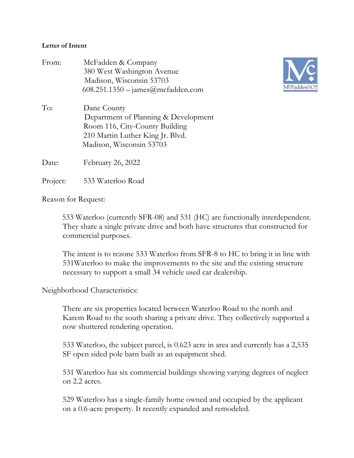## **Letter of Intent**

| From:          | McFadden & Company<br>380 West Washington Avenue<br>Madison, Wisconsin 53703<br>$608.251.1350 - \text{james@mcfadden.com}$                            |
|----------------|-------------------------------------------------------------------------------------------------------------------------------------------------------|
| To:            | Dane County<br>Department of Planning & Development<br>Room 116, City-County Building<br>210 Martin Luther King Jr. Blvd.<br>Madison, Wisconsin 53703 |
| Date:          | February 26, 2022                                                                                                                                     |
| $\mathbf{n}$ . | <u>FOO WALLER 1</u>                                                                                                                                   |



Project: 533 Waterloo Road

Reason for Request:

 533 Waterloo (currently SFR-08) and 531 (HC) are functionally interdependent. They share a single private drive and both have structures that constructed for commercial purposes.

The intent is to rezone 533 Waterloo from SFR-8 to HC to bring it in line with 531Waterloo to make the improvements to the site and the existing structure necessary to support a small 34 vehicle used car dealership.

## Neighborhood Characteristics:

There are six properties located between Waterloo Road to the north and Karem Road to the south sharing a private drive. They collectively supported a now shuttered rendering operation.

533 Waterloo, the subject parcel, is 0.623 acre in area and currently has a 2,535 SF open sided pole barn built as an equipment shed.

531 Waterloo has six commercial buildings showing varying degrees of neglect on 2.2 acres.

529 Waterloo has a single-family home owned and occupied by the applicant on a 0.6-acre property. It recently expanded and remodeled.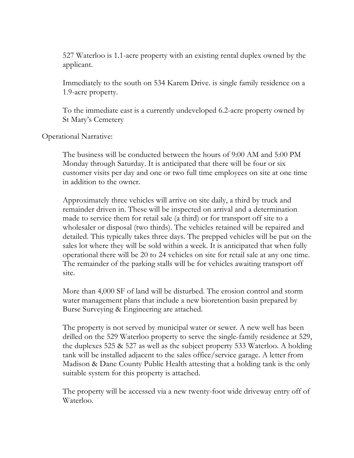527 Waterloo is 1.1-acre property with an existing rental duplex owned by the applicant.

Immediately to the south on 534 Karem Drive. is single family residence on a 1.9-acre property.

To the immediate east is a currently undeveloped 6.2-acre property owned by St Mary's Cemetery

Operational Narrative:

The business will be conducted between the hours of 9:00 AM and 5:00 PM Monday through Saturday. It is anticipated that there will be four or six customer visits per day and one or two full time employees on site at one time in addition to the owner.

Approximately three vehicles will arrive on site daily, a third by truck and remainder driven in. These will be inspected on arrival and a determination made to service them for retail sale (a third) or for transport off site to a wholesaler or disposal (two thirds). The vehicles retained will be repaired and detailed. This typically takes three days. The prepped vehicles will be put on the sales lot where they will be sold within a week. It is anticipated that when fully operational there will be 20 to 24 vehicles on site for retail sale at any one time. The remainder of the parking stalls will be for vehicles awaiting transport off site.

More than 4,000 SF of land will be disturbed. The erosion control and storm water management plans that include a new bioretention basin prepared by Burse Surveying & Engineering are attached.

The property is not served by municipal water or sewer. A new well has been drilled on the 529 Waterloo property to serve the single-family residence at 529, the duplexes 525 & 527 as well as the subject property 533 Waterloo. A holding tank will be installed adjacent to the sales office/service garage. A letter from Madison & Dane County Public Health attesting that a holding tank is the only suitable system for this property is attached.

The property will be accessed via a new twenty-foot wide driveway entry off of Waterloo.